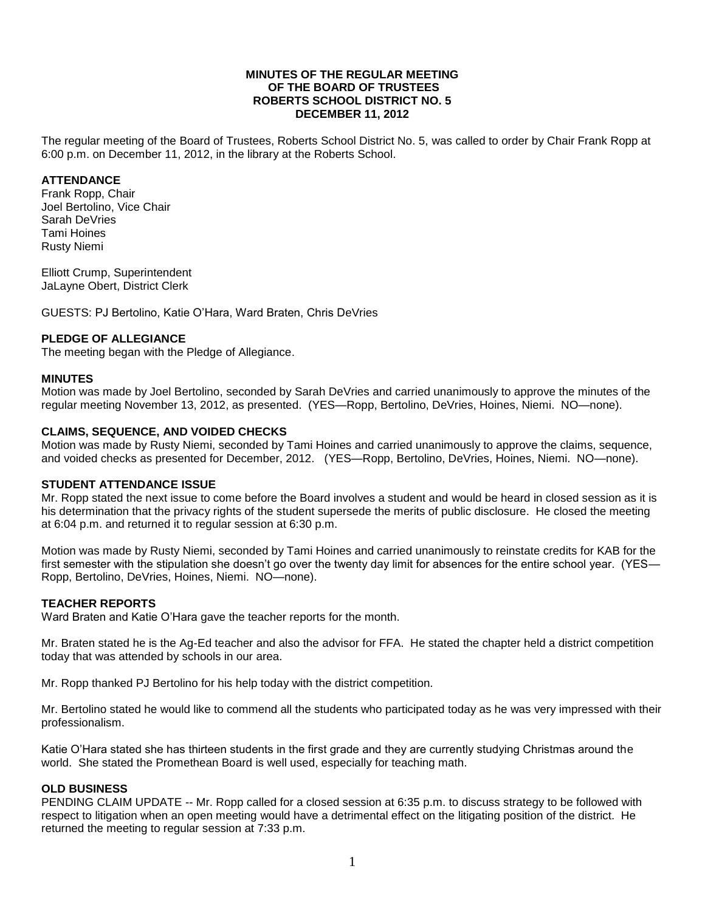#### **MINUTES OF THE REGULAR MEETING OF THE BOARD OF TRUSTEES ROBERTS SCHOOL DISTRICT NO. 5 DECEMBER 11, 2012**

The regular meeting of the Board of Trustees, Roberts School District No. 5, was called to order by Chair Frank Ropp at 6:00 p.m. on December 11, 2012, in the library at the Roberts School.

### **ATTENDANCE**

Frank Ropp, Chair Joel Bertolino, Vice Chair Sarah DeVries Tami Hoines Rusty Niemi

Elliott Crump, Superintendent JaLayne Obert, District Clerk

GUESTS: PJ Bertolino, Katie O'Hara, Ward Braten, Chris DeVries

### **PLEDGE OF ALLEGIANCE**

The meeting began with the Pledge of Allegiance.

#### **MINUTES**

Motion was made by Joel Bertolino, seconded by Sarah DeVries and carried unanimously to approve the minutes of the regular meeting November 13, 2012, as presented. (YES—Ropp, Bertolino, DeVries, Hoines, Niemi. NO—none).

### **CLAIMS, SEQUENCE, AND VOIDED CHECKS**

Motion was made by Rusty Niemi, seconded by Tami Hoines and carried unanimously to approve the claims, sequence, and voided checks as presented for December, 2012. (YES—Ropp, Bertolino, DeVries, Hoines, Niemi. NO—none).

### **STUDENT ATTENDANCE ISSUE**

Mr. Ropp stated the next issue to come before the Board involves a student and would be heard in closed session as it is his determination that the privacy rights of the student supersede the merits of public disclosure. He closed the meeting at 6:04 p.m. and returned it to regular session at 6:30 p.m.

Motion was made by Rusty Niemi, seconded by Tami Hoines and carried unanimously to reinstate credits for KAB for the first semester with the stipulation she doesn't go over the twenty day limit for absences for the entire school year. (YES— Ropp, Bertolino, DeVries, Hoines, Niemi. NO—none).

# **TEACHER REPORTS**

Ward Braten and Katie O'Hara gave the teacher reports for the month.

Mr. Braten stated he is the Ag-Ed teacher and also the advisor for FFA. He stated the chapter held a district competition today that was attended by schools in our area.

Mr. Ropp thanked PJ Bertolino for his help today with the district competition.

Mr. Bertolino stated he would like to commend all the students who participated today as he was very impressed with their professionalism.

Katie O'Hara stated she has thirteen students in the first grade and they are currently studying Christmas around the world. She stated the Promethean Board is well used, especially for teaching math.

### **OLD BUSINESS**

PENDING CLAIM UPDATE -- Mr. Ropp called for a closed session at 6:35 p.m. to discuss strategy to be followed with respect to litigation when an open meeting would have a detrimental effect on the litigating position of the district. He returned the meeting to regular session at 7:33 p.m.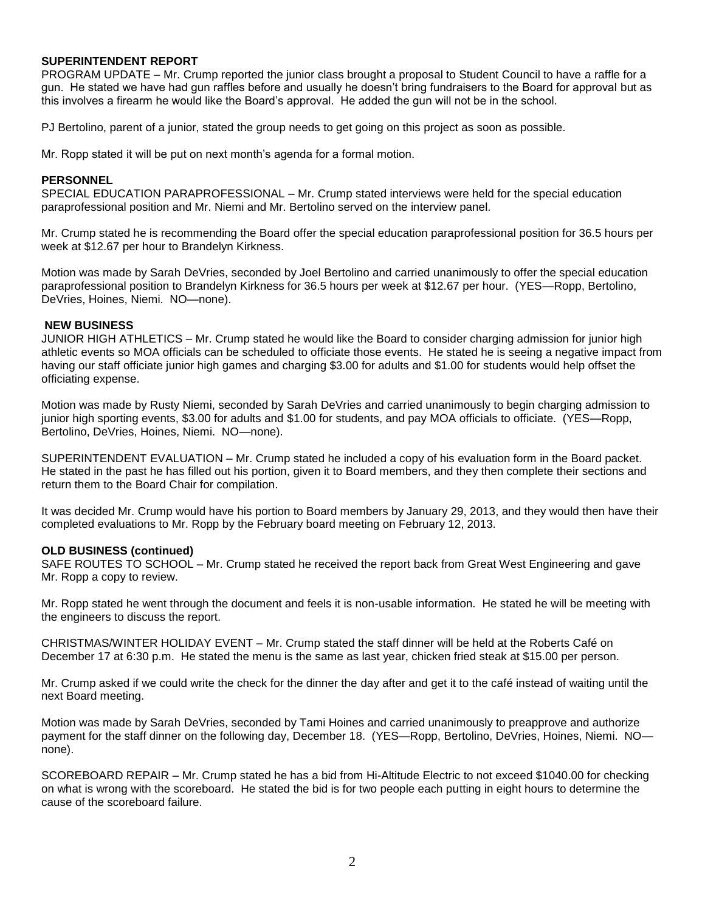### **SUPERINTENDENT REPORT**

PROGRAM UPDATE – Mr. Crump reported the junior class brought a proposal to Student Council to have a raffle for a gun. He stated we have had gun raffles before and usually he doesn't bring fundraisers to the Board for approval but as this involves a firearm he would like the Board's approval. He added the gun will not be in the school.

PJ Bertolino, parent of a junior, stated the group needs to get going on this project as soon as possible.

Mr. Ropp stated it will be put on next month's agenda for a formal motion.

## **PERSONNEL**

SPECIAL EDUCATION PARAPROFESSIONAL – Mr. Crump stated interviews were held for the special education paraprofessional position and Mr. Niemi and Mr. Bertolino served on the interview panel.

Mr. Crump stated he is recommending the Board offer the special education paraprofessional position for 36.5 hours per week at \$12.67 per hour to Brandelyn Kirkness.

Motion was made by Sarah DeVries, seconded by Joel Bertolino and carried unanimously to offer the special education paraprofessional position to Brandelyn Kirkness for 36.5 hours per week at \$12.67 per hour. (YES—Ropp, Bertolino, DeVries, Hoines, Niemi. NO—none).

### **NEW BUSINESS**

JUNIOR HIGH ATHLETICS – Mr. Crump stated he would like the Board to consider charging admission for junior high athletic events so MOA officials can be scheduled to officiate those events. He stated he is seeing a negative impact from having our staff officiate junior high games and charging \$3.00 for adults and \$1.00 for students would help offset the officiating expense.

Motion was made by Rusty Niemi, seconded by Sarah DeVries and carried unanimously to begin charging admission to junior high sporting events, \$3.00 for adults and \$1.00 for students, and pay MOA officials to officiate. (YES—Ropp, Bertolino, DeVries, Hoines, Niemi. NO—none).

SUPERINTENDENT EVALUATION – Mr. Crump stated he included a copy of his evaluation form in the Board packet. He stated in the past he has filled out his portion, given it to Board members, and they then complete their sections and return them to the Board Chair for compilation.

It was decided Mr. Crump would have his portion to Board members by January 29, 2013, and they would then have their completed evaluations to Mr. Ropp by the February board meeting on February 12, 2013.

### **OLD BUSINESS (continued)**

SAFE ROUTES TO SCHOOL – Mr. Crump stated he received the report back from Great West Engineering and gave Mr. Ropp a copy to review.

Mr. Ropp stated he went through the document and feels it is non-usable information. He stated he will be meeting with the engineers to discuss the report.

CHRISTMAS/WINTER HOLIDAY EVENT – Mr. Crump stated the staff dinner will be held at the Roberts Café on December 17 at 6:30 p.m. He stated the menu is the same as last year, chicken fried steak at \$15.00 per person.

Mr. Crump asked if we could write the check for the dinner the day after and get it to the café instead of waiting until the next Board meeting.

Motion was made by Sarah DeVries, seconded by Tami Hoines and carried unanimously to preapprove and authorize payment for the staff dinner on the following day, December 18. (YES—Ropp, Bertolino, DeVries, Hoines, Niemi. NO none).

SCOREBOARD REPAIR – Mr. Crump stated he has a bid from Hi-Altitude Electric to not exceed \$1040.00 for checking on what is wrong with the scoreboard. He stated the bid is for two people each putting in eight hours to determine the cause of the scoreboard failure.